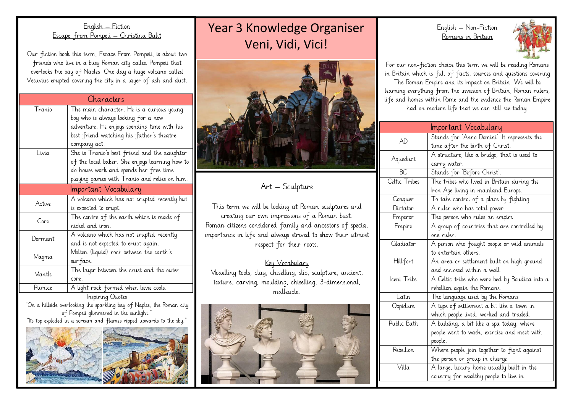#### English – Fiction Escape from Pompeii – Christina Balit

Our fiction book this term, Escape From Pompeii, is about two friends who live in a busy Roman city called Pompeii that overlooks the bay of Naples. One day a huge volcano called Vesuvius erupted covering the city in a layer of ash and dust.

| Characters           |                                                 |  |
|----------------------|-------------------------------------------------|--|
| Tranio               | The main character. He is a curious young       |  |
|                      | boy who is always looking for a new             |  |
|                      | adventure. He en joys spending time with his    |  |
|                      | best friend watching his father's theatre       |  |
|                      | company act.                                    |  |
| Livia.               | She is Tranio's best friend and the daughter    |  |
|                      | of the local baker. She en joys learning how to |  |
|                      | do house work and spends her free time          |  |
|                      | playing games with Tranio and relies on him.    |  |
| Important Vocabulary |                                                 |  |
| Active               | A volcano which has not erupted recently but    |  |
|                      | is expected to erupt.                           |  |
| Core.                | The centre of the earth which is made of        |  |
|                      | nickel and iron.                                |  |
| Dormant              | A volcano which has not erupted recently        |  |
|                      | and is not expected to erupt again.             |  |
| Magma                | Molten (liquid) rock between the earth's        |  |
|                      | surface.                                        |  |
| Mantle               | The layer between the crust and the outer       |  |
|                      | core.                                           |  |
| Pumice               | A light rock formed when lava cools.            |  |
| Inspiring Quotes     |                                                 |  |

"On a hillside overlooking the sparkling bay of Naples, the Roman city of Pompeii glimmered in the sunlight." "Its top exploded in a scream and flames ripped upwards to the sky."



# Year 3 Knowledge Organiser Veni, Vidi, Vici!



Art – Sculpture

This term we will be looking at Roman sculptures and creating our own impressions of a Roman bust. Roman citizens considered family and ancestors of special importance in life and always strived to show their utmost respect for their roots.

Key Vocabulary Modelling tools, clay, chiselling, slip, sculpture, ancient, texture, carving, moulding, chiselling, 3-dimensional, malleable.



English – Non-Fiction Romans in Britain



For our non-fiction choice this term we will be reading Romans in Britain which is full of facts, sources and questions covering

The Roman Empire and its Impact on Britain. We will be learning everything from the invasion of Britain, Roman rulers, life and homes within Rome and the evidence the Roman Empire had on modern life that we can still see today.

|                 | Important Vocabulary                          |
|-----------------|-----------------------------------------------|
| AD              | Stands for `Anno Domini'. It represents the   |
|                 | time after the birth of Christ.               |
| Aqueduct        | A structure, like a bridge, that is used to   |
|                 | carry water.                                  |
| BC              | Stands for 'Before Christ'.                   |
| Celtic Tribes   | The tribes who lived in Britain during the    |
|                 | Iron Age living in mainland Europe.           |
| Conquer         | To take control of a place by fighting.       |
| Dictator        | A ruler who has total power.                  |
| Emperor         | The person who rules an empire.               |
| Empire          | A group of countries that are controlled by   |
|                 | one ruler.                                    |
| Gladiator       | A person who fought people or wild animals    |
|                 | to entertain others.                          |
| <b>Hillfort</b> | An area or settlement built on high ground    |
|                 | and enclosed within a wall.                   |
| Iceni Tribe     | A Celtic tribe who were bed by Boudica into a |
|                 | rebellion again the Romans.                   |
| Latin           | The language used by the Romans               |
| Oppidum         | A type of settlement a bit like a town in     |
|                 | which people lived, worked and traded.        |
| Public Bath     | A building, a bit like a spa today, where     |
|                 | people went to wash, exercise and meet with   |
|                 | people.                                       |
| Rebellion       | Where people join together to fight against   |
|                 | the person or group in charge.                |
| Villa           | A large, luxury home usually built in the     |
|                 | country for wealthy people to live in.        |